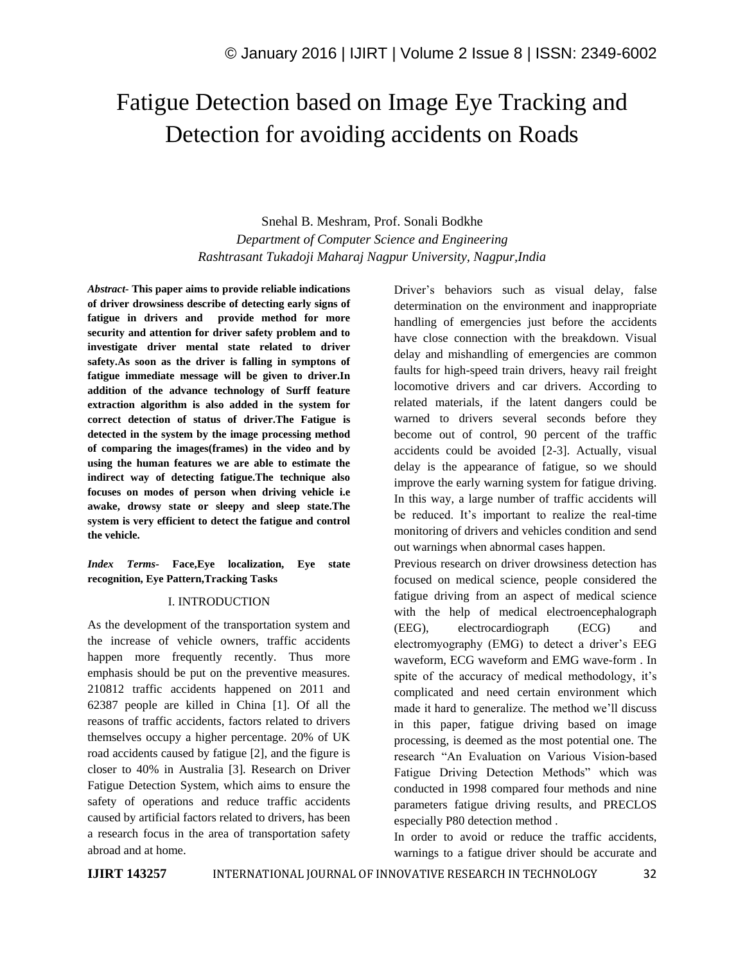# Fatigue Detection based on Image Eye Tracking and Detection for avoiding accidents on Roads

# Snehal B. Meshram, Prof. Sonali Bodkhe *Department of Computer Science and Engineering Rashtrasant Tukadoji Maharaj Nagpur University, Nagpur,India*

*Abstract-* **This paper aims to provide reliable indications of driver drowsiness describe of detecting early signs of fatigue in drivers and provide method for more security and attention for driver safety problem and to investigate driver mental state related to driver safety.As soon as the driver is falling in symptons of fatigue immediate message will be given to driver.In addition of the advance technology of Surff feature extraction algorithm is also added in the system for correct detection of status of driver.The Fatigue is detected in the system by the image processing method of comparing the images(frames) in the video and by using the human features we are able to estimate the indirect way of detecting fatigue.The technique also focuses on modes of person when driving vehicle i.e awake, drowsy state or sleepy and sleep state.The system is very efficient to detect the fatigue and control the vehicle.**

*Index Terms-* **Face,Eye localization, Eye state recognition, Eye Pattern,Tracking Tasks**

## I. INTRODUCTION

As the development of the transportation system and the increase of vehicle owners, traffic accidents happen more frequently recently. Thus more emphasis should be put on the preventive measures. 210812 traffic accidents happened on 2011 and 62387 people are killed in China [1]. Of all the reasons of traffic accidents, factors related to drivers themselves occupy a higher percentage. 20% of UK road accidents caused by fatigue [2], and the figure is closer to 40% in Australia [3]. Research on Driver Fatigue Detection System, which aims to ensure the safety of operations and reduce traffic accidents caused by artificial factors related to drivers, has been a research focus in the area of transportation safety abroad and at home.

Driver's behaviors such as visual delay, false determination on the environment and inappropriate handling of emergencies just before the accidents have close connection with the breakdown. Visual delay and mishandling of emergencies are common faults for high-speed train drivers, heavy rail freight locomotive drivers and car drivers. According to related materials, if the latent dangers could be warned to drivers several seconds before they become out of control, 90 percent of the traffic accidents could be avoided [2-3]. Actually, visual delay is the appearance of fatigue, so we should improve the early warning system for fatigue driving. In this way, a large number of traffic accidents will be reduced. It's important to realize the real-time monitoring of drivers and vehicles condition and send out warnings when abnormal cases happen.

Previous research on driver drowsiness detection has focused on medical science, people considered the fatigue driving from an aspect of medical science with the help of medical electroencephalograph (EEG), electrocardiograph (ECG) and electromyography (EMG) to detect a driver's EEG waveform, ECG waveform and EMG wave-form . In spite of the accuracy of medical methodology, it's complicated and need certain environment which made it hard to generalize. The method we'll discuss in this paper, fatigue driving based on image processing, is deemed as the most potential one. The research "An Evaluation on Various Vision-based Fatigue Driving Detection Methods" which was conducted in 1998 compared four methods and nine parameters fatigue driving results, and PRECLOS especially P80 detection method .

In order to avoid or reduce the traffic accidents, warnings to a fatigue driver should be accurate and

**IJIRT 143257** INTERNATIONAL JOURNAL OF INNOVATIVE RESEARCH IN TECHNOLOGY 32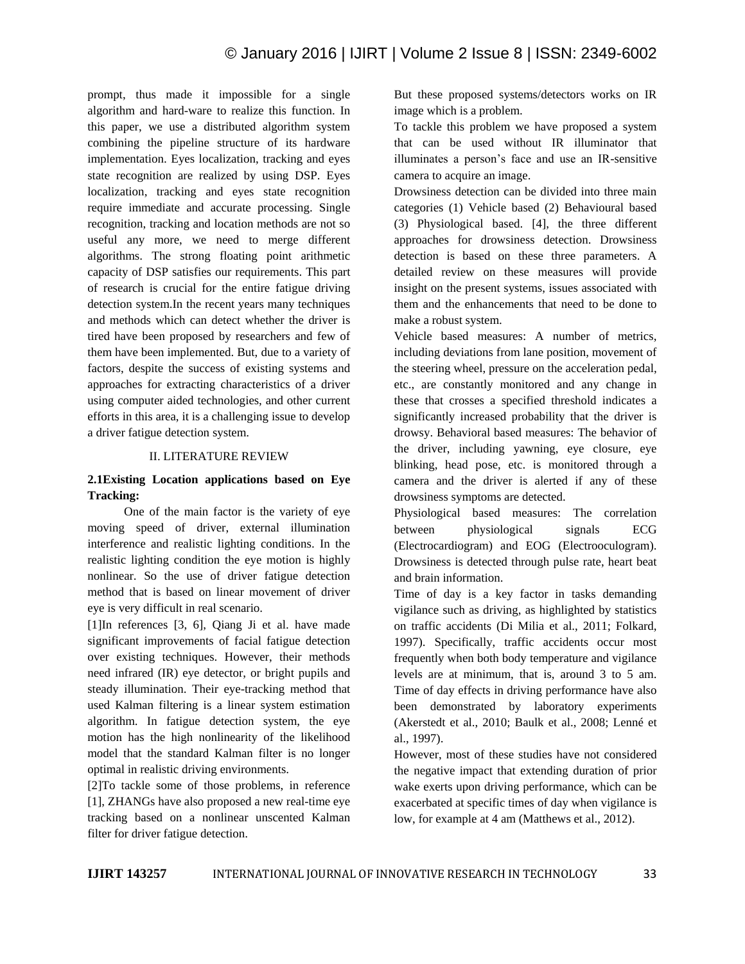prompt, thus made it impossible for a single algorithm and hard-ware to realize this function. In this paper, we use a distributed algorithm system combining the pipeline structure of its hardware implementation. Eyes localization, tracking and eyes state recognition are realized by using DSP. Eyes localization, tracking and eyes state recognition require immediate and accurate processing. Single recognition, tracking and location methods are not so useful any more, we need to merge different algorithms. The strong floating point arithmetic capacity of DSP satisfies our requirements. This part of research is crucial for the entire fatigue driving detection system.In the recent years many techniques and methods which can detect whether the driver is tired have been proposed by researchers and few of them have been implemented. But, due to a variety of factors, despite the success of existing systems and approaches for extracting characteristics of a driver using computer aided technologies, and other current efforts in this area, it is a challenging issue to develop a driver fatigue detection system.

#### II. LITERATURE REVIEW

## **2.1Existing Location applications based on Eye Tracking:**

 One of the main factor is the variety of eye moving speed of driver, external illumination interference and realistic lighting conditions. In the realistic lighting condition the eye motion is highly nonlinear. So the use of driver fatigue detection method that is based on linear movement of driver eye is very difficult in real scenario.

[1]In references [3, 6], Qiang Ji et al. have made significant improvements of facial fatigue detection over existing techniques. However, their methods need infrared (IR) eye detector, or bright pupils and steady illumination. Their eye-tracking method that used Kalman filtering is a linear system estimation algorithm. In fatigue detection system, the eye motion has the high nonlinearity of the likelihood model that the standard Kalman filter is no longer optimal in realistic driving environments.

[2]To tackle some of those problems, in reference [1], ZHANGs have also proposed a new real-time eye tracking based on a nonlinear unscented Kalman filter for driver fatigue detection.

But these proposed systems/detectors works on IR image which is a problem.

To tackle this problem we have proposed a system that can be used without IR illuminator that illuminates a person's face and use an IR-sensitive camera to acquire an image.

Drowsiness detection can be divided into three main categories (1) Vehicle based (2) Behavioural based (3) Physiological based. [4], the three different approaches for drowsiness detection. Drowsiness detection is based on these three parameters. A detailed review on these measures will provide insight on the present systems, issues associated with them and the enhancements that need to be done to make a robust system.

Vehicle based measures: A number of metrics, including deviations from lane position, movement of the steering wheel, pressure on the acceleration pedal, etc., are constantly monitored and any change in these that crosses a specified threshold indicates a significantly increased probability that the driver is drowsy. Behavioral based measures: The behavior of the driver, including yawning, eye closure, eye blinking, head pose, etc. is monitored through a camera and the driver is alerted if any of these drowsiness symptoms are detected.

Physiological based measures: The correlation between physiological signals ECG (Electrocardiogram) and EOG (Electrooculogram). Drowsiness is detected through pulse rate, heart beat and brain information.

Time of day is a key factor in tasks demanding vigilance such as driving, as highlighted by statistics on traffic accidents (Di Milia et al., 2011; Folkard, 1997). Specifically, traffic accidents occur most frequently when both body temperature and vigilance levels are at minimum, that is, around 3 to 5 am. Time of day effects in driving performance have also been demonstrated by laboratory experiments (Akerstedt et al., 2010; Baulk et al., 2008; Lenné et al., 1997).

However, most of these studies have not considered the negative impact that extending duration of prior wake exerts upon driving performance, which can be exacerbated at specific times of day when vigilance is low, for example at 4 am (Matthews et al., 2012).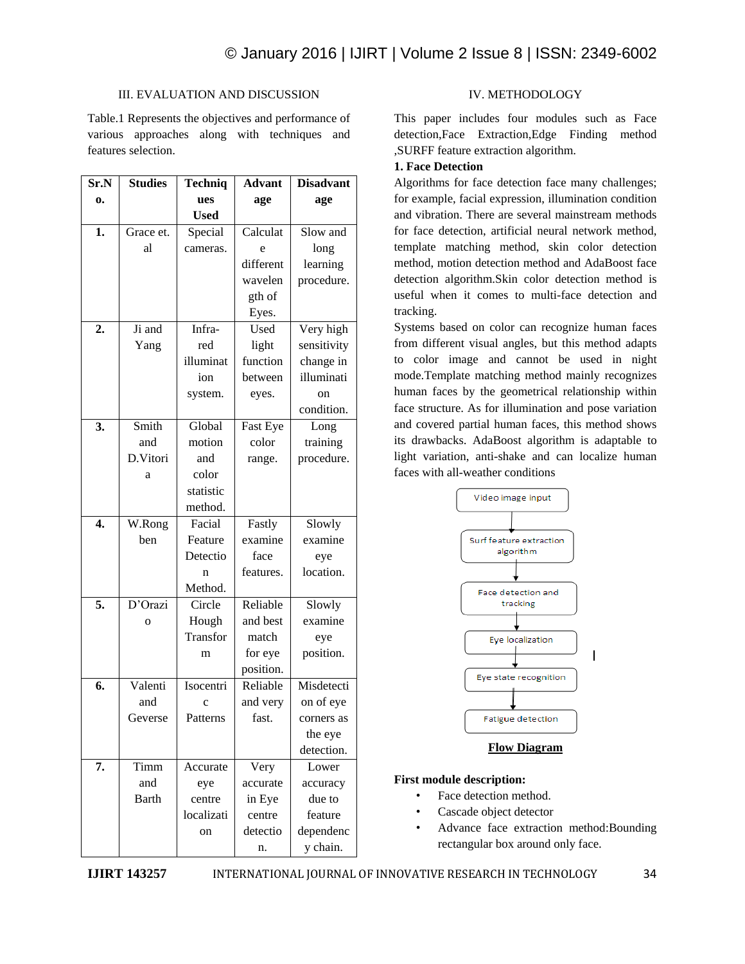### III. EVALUATION AND DISCUSSION

Table.1 Represents the objectives and performance of various approaches along with techniques and features selection.

| Sr.N             | <b>Studies</b> | <b>Techniq</b> | <b>Advant</b> | <b>Disadvant</b> |
|------------------|----------------|----------------|---------------|------------------|
| 0.               |                | ues            | age           | age              |
|                  |                | <b>Used</b>    |               |                  |
| 1.               | Grace et.      | Special        | Calculat      | Slow and         |
|                  | al             | cameras.       | e             | long             |
|                  |                |                | different     | learning         |
|                  |                |                | wavelen       | procedure.       |
|                  |                |                | gth of        |                  |
|                  |                |                | Eyes.         |                  |
| $\overline{2}$ . | Ji and         | Infra-         | Used          | Very high        |
|                  | Yang           | red            | light         | sensitivity      |
|                  |                | illuminat      | function      | change in        |
|                  |                | ion            | between       | illuminati       |
|                  |                | system.        | eyes.         | on               |
|                  |                |                |               | condition.       |
| 3.               | Smith          | Global         | Fast Eye      | Long             |
|                  | and            | motion         | color         | training         |
|                  | D.Vitori       | and            | range.        | procedure.       |
|                  | a              | color          |               |                  |
|                  |                | statistic      |               |                  |
|                  |                | method.        |               |                  |
| 4.               | W.Rong         | Facial         | Fastly        | Slowly           |
|                  | ben            | Feature        | examine       | examine          |
|                  |                | Detectio       | face          | eye              |
|                  |                | n              | features.     | location.        |
|                  |                | Method.        |               |                  |
| 5.               | D'Orazi        | Circle         | Reliable      | Slowly           |
|                  | $\mathbf{o}$   | Hough          | and best      | examine          |
|                  |                | Transfor       | match         | eye              |
|                  |                | m              | for eye       | position.        |
|                  |                |                | position.     |                  |
| 6.               | Valenti        | Isocentri      | Reliable      | Misdetecti       |
|                  | and            | $\mathbf c$    | and very      | on of eye        |
|                  | Geverse        | Patterns       | fast.         | corners as       |
|                  |                |                |               | the eye          |
|                  |                |                |               | detection.       |
| 7.               | Timm           | Accurate       | Very          | Lower            |
|                  | and            | eye            | accurate      | accuracy         |
|                  | Barth          | centre         | in Eye        | due to           |
|                  |                | localizati     | centre        | feature          |
|                  |                | on             | detectio      | dependenc        |
|                  |                |                | n.            | y chain.         |

#### IV. METHODOLOGY

This paper includes four modules such as Face detection,Face Extraction,Edge Finding method ,SURFF feature extraction algorithm.

## **1. Face Detection**

Algorithms for face detection face many challenges; for example, facial expression, illumination condition and vibration. There are several mainstream methods for face detection, artificial neural network method, template matching method, skin color detection method, motion detection method and AdaBoost face detection algorithm.Skin color detection method is useful when it comes to multi-face detection and tracking.

Systems based on color can recognize human faces from different visual angles, but this method adapts to color image and cannot be used in night mode.Template matching method mainly recognizes human faces by the geometrical relationship within face structure. As for illumination and pose variation and covered partial human faces, this method shows its drawbacks. AdaBoost algorithm is adaptable to light variation, anti-shake and can localize human faces with all-weather conditions



**Flow Diagram**

## **First module description:**

- Face detection method.
- Cascade object detector
- Advance face extraction method:Bounding rectangular box around only face.

**IJIRT 143257** INTERNATIONAL JOURNAL OF INNOVATIVE RESEARCH IN TECHNOLOGY 34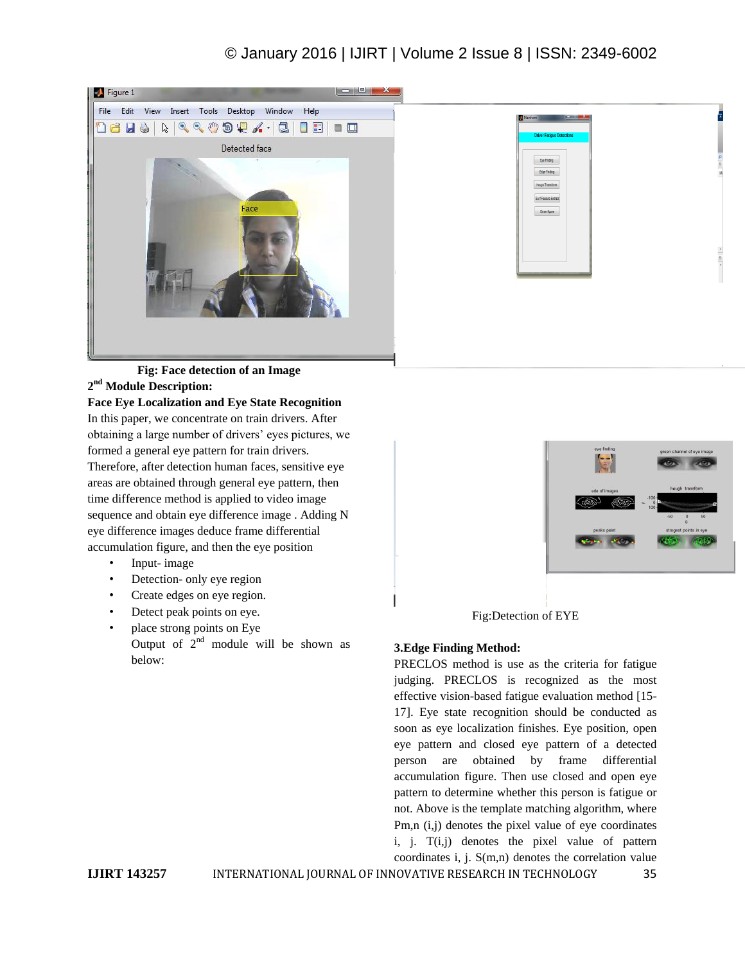# © January 2016 | IJIRT | Volume 2 Issue 8 | ISSN: 2349-6002



| <b>Driver Fatigue Detections</b> |  |  |
|----------------------------------|--|--|
|                                  |  |  |
|                                  |  |  |
| Eye Finding                      |  |  |
| Edge Finding                     |  |  |
| Hough Transform                  |  |  |
|                                  |  |  |
| Surf Feature Extract             |  |  |
| Close figure                     |  |  |
|                                  |  |  |
|                                  |  |  |
|                                  |  |  |
|                                  |  |  |
|                                  |  |  |
|                                  |  |  |
|                                  |  |  |
|                                  |  |  |

## **Fig: Face detection of an Image 2 nd Module Description:**

**Face Eye Localization and Eye State Recognition** In this paper, we concentrate on train drivers. After obtaining a large number of drivers' eyes pictures, we formed a general eye pattern for train drivers. Therefore, after detection human faces, sensitive eye areas are obtained through general eye pattern, then time difference method is applied to video image sequence and obtain eye difference image . Adding N eye difference images deduce frame differential accumulation figure, and then the eye position

- Input- image
- Detection- only eye region
- Create edges on eye region.
- Detect peak points on eye.
- place strong points on Eye Output of  $2<sup>nd</sup>$  module will be shown as below:



Fig:Detection of EYE

## **3.Edge Finding Method:**

PRECLOS method is use as the criteria for fatigue judging. PRECLOS is recognized as the most effective vision-based fatigue evaluation method [15- 17]. Eye state recognition should be conducted as soon as eye localization finishes. Eye position, open eye pattern and closed eye pattern of a detected person are obtained by frame differential accumulation figure. Then use closed and open eye pattern to determine whether this person is fatigue or not. Above is the template matching algorithm, where Pm,n (i,j) denotes the pixel value of eye coordinates i, j. T(i,j) denotes the pixel value of pattern coordinates i, j. S(m,n) denotes the correlation value

**IJIRT 143257** INTERNATIONAL JOURNAL OF INNOVATIVE RESEARCH IN TECHNOLOGY 35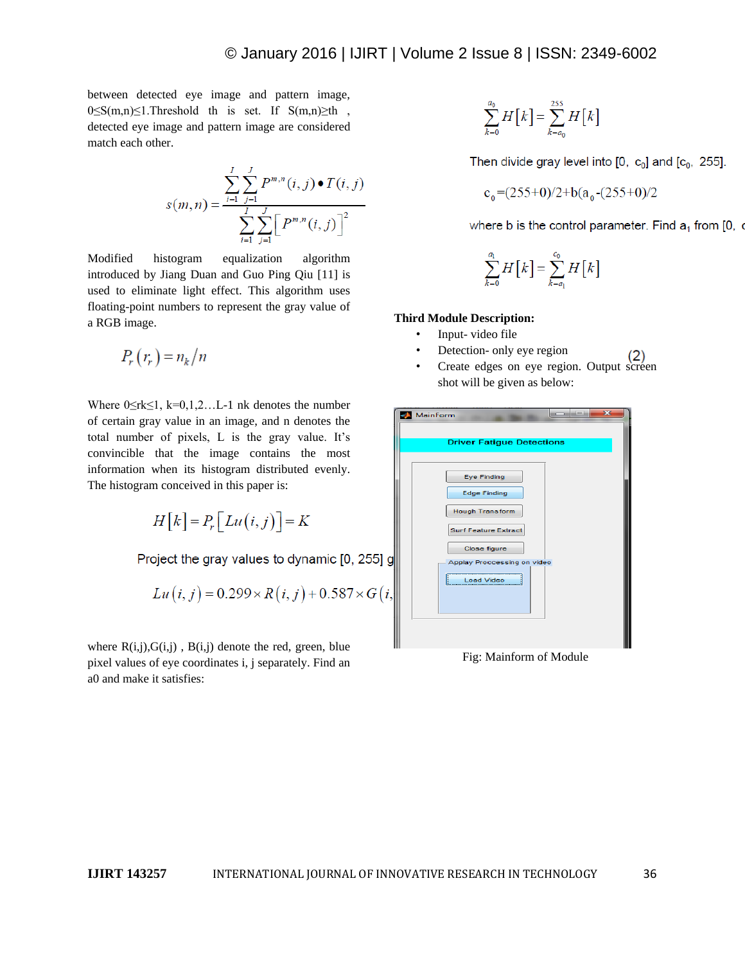between detected eye image and pattern image,  $0 \leq S(m,n) \leq 1$ . Threshold th is set. If  $S(m,n) \geq th$ , detected eye image and pattern image are considered match each other.

$$
s(m,n) = \frac{\sum_{i=1}^{I} \sum_{j=1}^{J} P^{m,n}(i,j) \bullet T(i,j)}{\sum_{i=1}^{I} \sum_{j=1}^{J} \left[ P^{m,n}(i,j) \right]^2}
$$

Modified histogram equalization algorithm introduced by Jiang Duan and Guo Ping Qiu [11] is used to eliminate light effect. This algorithm uses floating-point numbers to represent the gray value of a RGB image.

$$
P_r(r_r) = n_k/n
$$

Where  $0 \leq r k \leq 1$ ,  $k=0,1,2...$  I nk denotes the number of certain gray value in an image, and n denotes the total number of pixels, L is the gray value. It's convincible that the image contains the most information when its histogram distributed evenly. The histogram conceived in this paper is:

$$
H[k] = P_r[Lu(i,j)] = K
$$

Project the gray values to dynamic [0, 255] g

$$
Lu(i, j) = 0.299 \times R(i, j) + 0.587 \times G(i,
$$

where  $R(i,j), G(i,j)$ ,  $B(i,j)$  denote the red, green, blue pixel values of eye coordinates i, j separately. Find an a0 and make it satisfies:

$$
\sum_{k=0}^{a_0} H\big[k\big] = \sum_{k=a_0}^{255} H\big[k\big]
$$

Then divide gray level into  $[0, c_0]$  and  $[c_0, 255]$ .

$$
c_0 = (255+0)/2 + b(a_0 - (255+0)/2
$$

where b is the control parameter. Find  $a_1$  from [0,  $\alpha$ 

$$
\sum_{k=0}^{a_1} H\big[k\big] = \sum_{k=a_1}^{c_0} H\big[k\big]
$$

#### **Third Module Description:**

- Input- video file
- Detection- only eye region
- Create edges on eye region. Output screen shot will be given as below:

| MainForm                         | $\overline{\mathbf{z}}$<br><b>Parties</b> |
|----------------------------------|-------------------------------------------|
|                                  |                                           |
| <b>Driver Fatigue Detections</b> |                                           |
|                                  |                                           |
| <b>Eye Finding</b>               |                                           |
| <b>Edge Finding</b>              |                                           |
| <b>Hough Transform</b>           |                                           |
| <b>Surf Feature Extract</b>      |                                           |
| Close figure                     |                                           |
| Applay Proccessing on video      |                                           |
| <b>Load Video</b>                |                                           |
|                                  |                                           |
|                                  |                                           |
|                                  |                                           |
|                                  |                                           |

Fig: Mainform of Module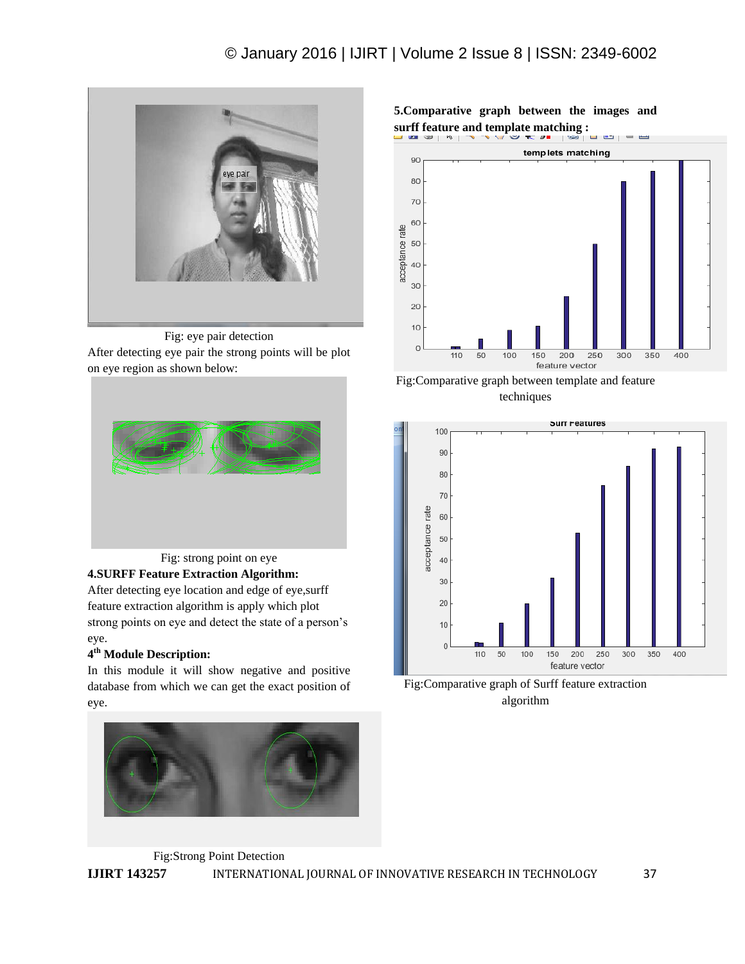

Fig: eye pair detection After detecting eye pair the strong points will be plot on eye region as shown below:



**4.SURFF Feature Extraction Algorithm:**

After detecting eye location and edge of eye,surff feature extraction algorithm is apply which plot strong points on eye and detect the state of a person's eye.

# **4 th Module Description:**

In this module it will show negative and positive database from which we can get the exact position of eye.



**5.Comparative graph between the images and surff feature and template matching :**



Fig:Comparative graph between template and feature techniques



Fig:Comparative graph of Surff feature extraction algorithm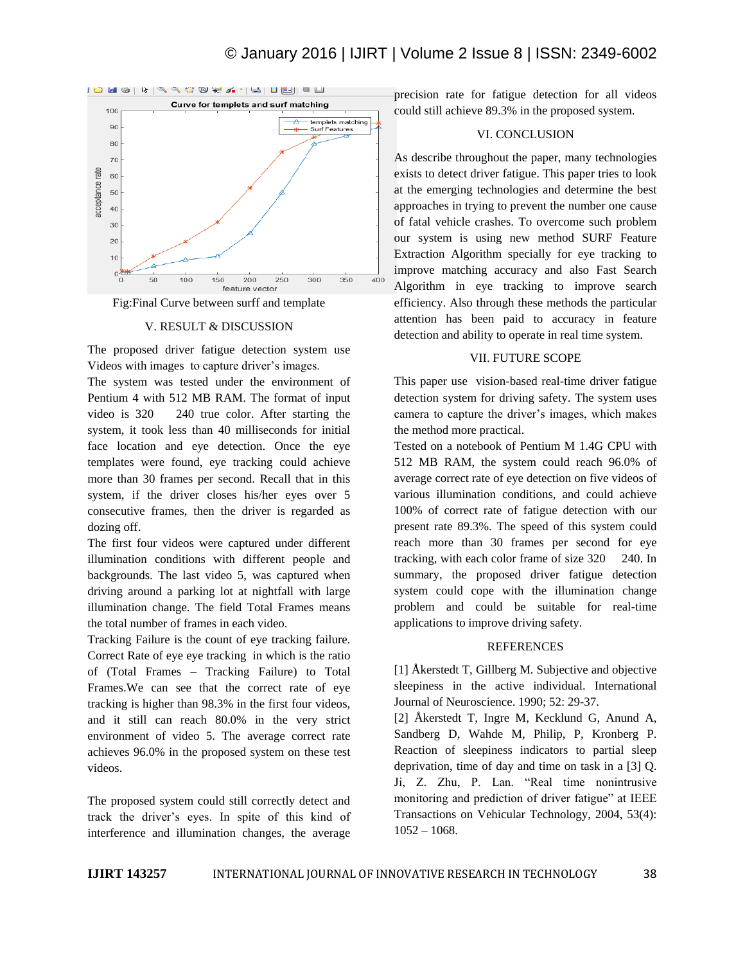# © January 2016 | IJIRT | Volume 2 Issue 8 | ISSN: 2349-6002





#### V. RESULT & DISCUSSION

The proposed driver fatigue detection system use Videos with images to capture driver's images.

The system was tested under the environment of Pentium 4 with 512 MB RAM. The format of input video is 320 240 true color. After starting the system, it took less than 40 milliseconds for initial face location and eye detection. Once the eye templates were found, eye tracking could achieve more than 30 frames per second. Recall that in this system, if the driver closes his/her eyes over 5 consecutive frames, then the driver is regarded as dozing off.

The first four videos were captured under different illumination conditions with different people and backgrounds. The last video 5, was captured when driving around a parking lot at nightfall with large illumination change. The field Total Frames means the total number of frames in each video.

Tracking Failure is the count of eye tracking failure. Correct Rate of eye eye tracking in which is the ratio of (Total Frames – Tracking Failure) to Total Frames.We can see that the correct rate of eye tracking is higher than 98.3% in the first four videos, and it still can reach 80.0% in the very strict environment of video 5. The average correct rate achieves 96.0% in the proposed system on these test videos.

The proposed system could still correctly detect and track the driver's eyes. In spite of this kind of interference and illumination changes, the average

precision rate for fatigue detection for all videos could still achieve 89.3% in the proposed system.

#### VI. CONCLUSION

As describe throughout the paper, many technologies exists to detect driver fatigue. This paper tries to look at the emerging technologies and determine the best approaches in trying to prevent the number one cause of fatal vehicle crashes. To overcome such problem our system is using new method SURF Feature Extraction Algorithm specially for eye tracking to improve matching accuracy and also Fast Search Algorithm in eye tracking to improve search efficiency. Also through these methods the particular attention has been paid to accuracy in feature detection and ability to operate in real time system.

### VII. FUTURE SCOPE

This paper use vision-based real-time driver fatigue detection system for driving safety. The system uses camera to capture the driver's images, which makes the method more practical.

Tested on a notebook of Pentium M 1.4G CPU with 512 MB RAM, the system could reach 96.0% of average correct rate of eye detection on five videos of various illumination conditions, and could achieve 100% of correct rate of fatigue detection with our present rate 89.3%. The speed of this system could reach more than 30 frames per second for eye tracking, with each color frame of size 320 240. In summary, the proposed driver fatigue detection system could cope with the illumination change problem and could be suitable for real-time applications to improve driving safety.

#### REFERENCES

[1] Åkerstedt T, Gillberg M. Subjective and objective sleepiness in the active individual. International Journal of Neuroscience. 1990; 52: 29-37.

[2] Åkerstedt T, Ingre M, Kecklund G, Anund A, Sandberg D, Wahde M, Philip, P, Kronberg P. Reaction of sleepiness indicators to partial sleep deprivation, time of day and time on task in a [3] Q. Ji, Z. Zhu, P. Lan. "Real time nonintrusive monitoring and prediction of driver fatigue" at IEEE Transactions on Vehicular Technology, 2004, 53(4):  $1052 - 1068$ .